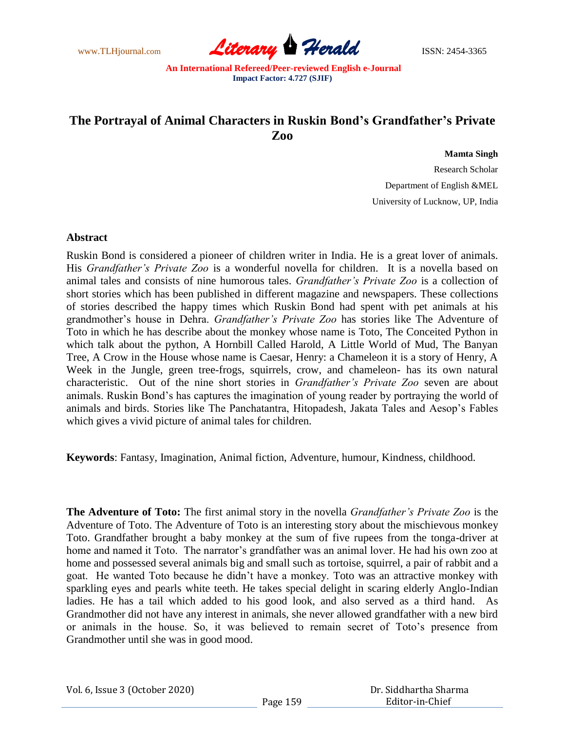

# **The Portrayal of Animal Characters in Ruskin Bond's Grandfather's Private Zoo**

#### **Mamta Singh**

Research Scholar Department of English &MEL University of Lucknow, UP, India

### **Abstract**

Ruskin Bond is considered a pioneer of children writer in India. He is a great lover of animals. His *Grandfather's Private Zoo* is a wonderful novella for children. It is a novella based on animal tales and consists of nine humorous tales. *Grandfather's Private Zoo* is a collection of short stories which has been published in different magazine and newspapers. These collections of stories described the happy times which Ruskin Bond had spent with pet animals at his grandmother"s house in Dehra. *Grandfather's Private Zoo* has stories like The Adventure of Toto in which he has describe about the monkey whose name is Toto, The Conceited Python in which talk about the python, A Hornbill Called Harold, A Little World of Mud, The Banyan Tree, A Crow in the House whose name is Caesar, Henry: a Chameleon it is a story of Henry, A Week in the Jungle, green tree-frogs, squirrels, crow, and chameleon- has its own natural characteristic. Out of the nine short stories in *Grandfather's Private Zoo* seven are about animals. Ruskin Bond"s has captures the imagination of young reader by portraying the world of animals and birds. Stories like The Panchatantra, Hitopadesh, Jakata Tales and Aesop"s Fables which gives a vivid picture of animal tales for children.

**Keywords**: Fantasy, Imagination, Animal fiction, Adventure, humour, Kindness, childhood.

**The Adventure of Toto:** The first animal story in the novella *Grandfather's Private Zoo* is the Adventure of Toto. The Adventure of Toto is an interesting story about the mischievous monkey Toto. Grandfather brought a baby monkey at the sum of five rupees from the tonga-driver at home and named it Toto. The narrator's grandfather was an animal lover. He had his own zoo at home and possessed several animals big and small such as tortoise, squirrel, a pair of rabbit and a goat. He wanted Toto because he didn"t have a monkey. Toto was an attractive monkey with sparkling eyes and pearls white teeth. He takes special delight in scaring elderly Anglo-Indian ladies. He has a tail which added to his good look, and also served as a third hand. As Grandmother did not have any interest in animals, she never allowed grandfather with a new bird or animals in the house. So, it was believed to remain secret of Toto"s presence from Grandmother until she was in good mood.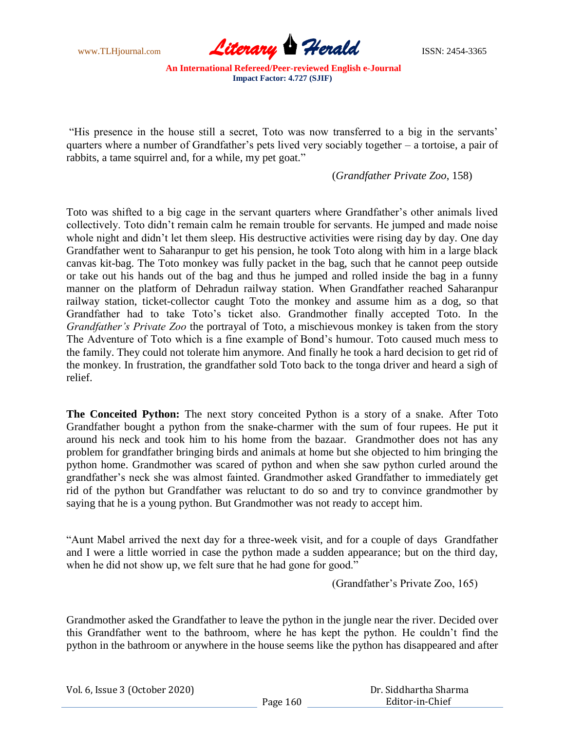

"His presence in the house still a secret, Toto was now transferred to a big in the servants" quarters where a number of Grandfather"s pets lived very sociably together – a tortoise, a pair of rabbits, a tame squirrel and, for a while, my pet goat."

(*Grandfather Private Zoo*, 158)

Toto was shifted to a big cage in the servant quarters where Grandfather"s other animals lived collectively. Toto didn"t remain calm he remain trouble for servants. He jumped and made noise whole night and didn"t let them sleep. His destructive activities were rising day by day. One day Grandfather went to Saharanpur to get his pension, he took Toto along with him in a large black canvas kit-bag. The Toto monkey was fully packet in the bag, such that he cannot peep outside or take out his hands out of the bag and thus he jumped and rolled inside the bag in a funny manner on the platform of Dehradun railway station. When Grandfather reached Saharanpur railway station, ticket-collector caught Toto the monkey and assume him as a dog, so that Grandfather had to take Toto"s ticket also. Grandmother finally accepted Toto. In the *Grandfather's Private Zoo* the portrayal of Toto, a mischievous monkey is taken from the story The Adventure of Toto which is a fine example of Bond"s humour. Toto caused much mess to the family. They could not tolerate him anymore. And finally he took a hard decision to get rid of the monkey. In frustration, the grandfather sold Toto back to the tonga driver and heard a sigh of relief.

**The Conceited Python:** The next story conceited Python is a story of a snake. After Toto Grandfather bought a python from the snake-charmer with the sum of four rupees. He put it around his neck and took him to his home from the bazaar. Grandmother does not has any problem for grandfather bringing birds and animals at home but she objected to him bringing the python home. Grandmother was scared of python and when she saw python curled around the grandfather"s neck she was almost fainted. Grandmother asked Grandfather to immediately get rid of the python but Grandfather was reluctant to do so and try to convince grandmother by saying that he is a young python. But Grandmother was not ready to accept him.

"Aunt Mabel arrived the next day for a three-week visit, and for a couple of days Grandfather and I were a little worried in case the python made a sudden appearance; but on the third day, when he did not show up, we felt sure that he had gone for good."

(Grandfather"s Private Zoo, 165)

Grandmother asked the Grandfather to leave the python in the jungle near the river. Decided over this Grandfather went to the bathroom, where he has kept the python. He couldn"t find the python in the bathroom or anywhere in the house seems like the python has disappeared and after

|  | Vol. 6, Issue 3 (October 2020) |
|--|--------------------------------|
|--|--------------------------------|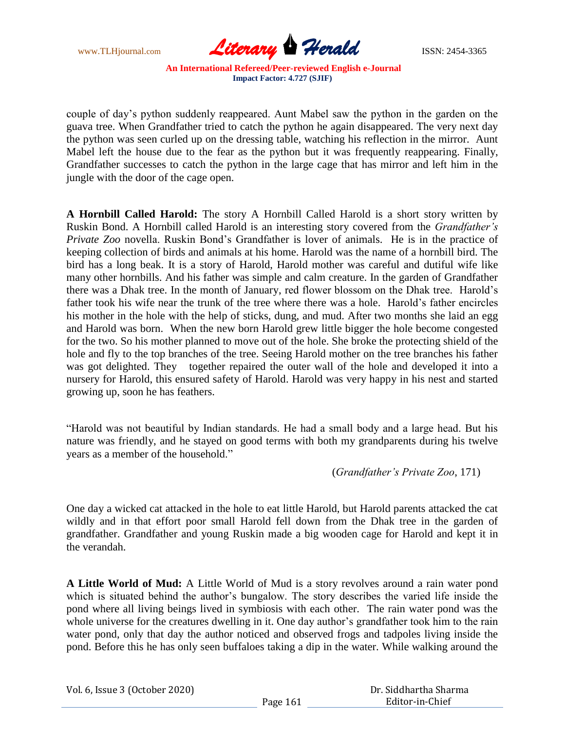

couple of day"s python suddenly reappeared. Aunt Mabel saw the python in the garden on the guava tree. When Grandfather tried to catch the python he again disappeared. The very next day the python was seen curled up on the dressing table, watching his reflection in the mirror. Aunt Mabel left the house due to the fear as the python but it was frequently reappearing. Finally, Grandfather successes to catch the python in the large cage that has mirror and left him in the jungle with the door of the cage open.

**A Hornbill Called Harold:** The story A Hornbill Called Harold is a short story written by Ruskin Bond. A Hornbill called Harold is an interesting story covered from the *Grandfather's Private Zoo* novella. Ruskin Bond"s Grandfather is lover of animals. He is in the practice of keeping collection of birds and animals at his home. Harold was the name of a hornbill bird. The bird has a long beak. It is a story of Harold, Harold mother was careful and dutiful wife like many other hornbills. And his father was simple and calm creature. In the garden of Grandfather there was a Dhak tree. In the month of January, red flower blossom on the Dhak tree. Harold"s father took his wife near the trunk of the tree where there was a hole. Harold"s father encircles his mother in the hole with the help of sticks, dung, and mud. After two months she laid an egg and Harold was born. When the new born Harold grew little bigger the hole become congested for the two. So his mother planned to move out of the hole. She broke the protecting shield of the hole and fly to the top branches of the tree. Seeing Harold mother on the tree branches his father was got delighted. They together repaired the outer wall of the hole and developed it into a nursery for Harold, this ensured safety of Harold. Harold was very happy in his nest and started growing up, soon he has feathers.

"Harold was not beautiful by Indian standards. He had a small body and a large head. But his nature was friendly, and he stayed on good terms with both my grandparents during his twelve years as a member of the household."

(*Grandfather's Private Zoo*, 171)

One day a wicked cat attacked in the hole to eat little Harold, but Harold parents attacked the cat wildly and in that effort poor small Harold fell down from the Dhak tree in the garden of grandfather. Grandfather and young Ruskin made a big wooden cage for Harold and kept it in the verandah.

**A Little World of Mud:** A Little World of Mud is a story revolves around a rain water pond which is situated behind the author's bungalow. The story describes the varied life inside the pond where all living beings lived in symbiosis with each other. The rain water pond was the whole universe for the creatures dwelling in it. One day author's grandfather took him to the rain water pond, only that day the author noticed and observed frogs and tadpoles living inside the pond. Before this he has only seen buffaloes taking a dip in the water. While walking around the

|  | Vol. 6, Issue 3 (October 2020) |  |
|--|--------------------------------|--|
|--|--------------------------------|--|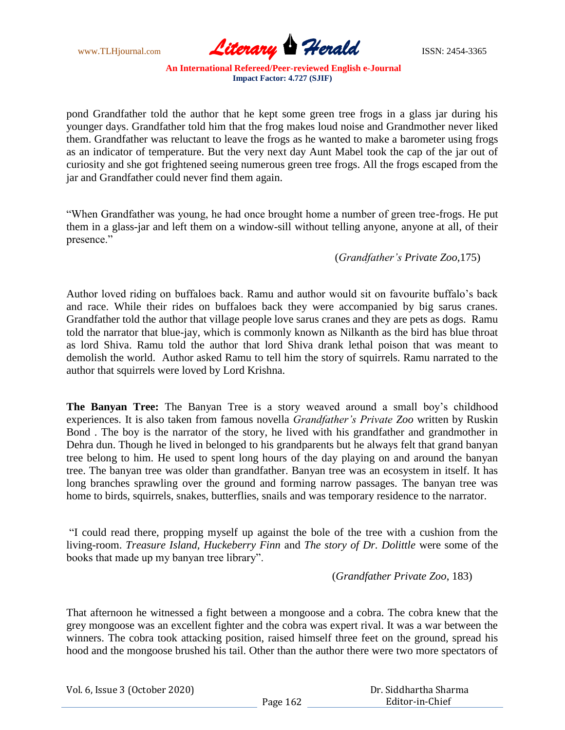

pond Grandfather told the author that he kept some green tree frogs in a glass jar during his younger days. Grandfather told him that the frog makes loud noise and Grandmother never liked them. Grandfather was reluctant to leave the frogs as he wanted to make a barometer using frogs as an indicator of temperature. But the very next day Aunt Mabel took the cap of the jar out of curiosity and she got frightened seeing numerous green tree frogs. All the frogs escaped from the jar and Grandfather could never find them again.

"When Grandfather was young, he had once brought home a number of green tree-frogs. He put them in a glass-jar and left them on a window-sill without telling anyone, anyone at all, of their presence."

(*Grandfather's Private Zoo,*175)

Author loved riding on buffaloes back. Ramu and author would sit on favourite buffalo"s back and race. While their rides on buffaloes back they were accompanied by big sarus cranes. Grandfather told the author that village people love sarus cranes and they are pets as dogs. Ramu told the narrator that blue-jay, which is commonly known as Nilkanth as the bird has blue throat as lord Shiva. Ramu told the author that lord Shiva drank lethal poison that was meant to demolish the world. Author asked Ramu to tell him the story of squirrels. Ramu narrated to the author that squirrels were loved by Lord Krishna.

**The Banyan Tree:** The Banyan Tree is a story weaved around a small boy's childhood experiences. It is also taken from famous novella *Grandfather's Private Zoo* written by Ruskin Bond . The boy is the narrator of the story, he lived with his grandfather and grandmother in Dehra dun. Though he lived in belonged to his grandparents but he always felt that grand banyan tree belong to him. He used to spent long hours of the day playing on and around the banyan tree. The banyan tree was older than grandfather. Banyan tree was an ecosystem in itself. It has long branches sprawling over the ground and forming narrow passages. The banyan tree was home to birds, squirrels, snakes, butterflies, snails and was temporary residence to the narrator.

"I could read there, propping myself up against the bole of the tree with a cushion from the living-room. *Treasure Island, Huckeberry Finn* and *The story of Dr. Dolittle* were some of the books that made up my banyan tree library".

(*Grandfather Private Zoo*, 183)

That afternoon he witnessed a fight between a mongoose and a cobra. The cobra knew that the grey mongoose was an excellent fighter and the cobra was expert rival. It was a war between the winners. The cobra took attacking position, raised himself three feet on the ground, spread his hood and the mongoose brushed his tail. Other than the author there were two more spectators of

| Vol. 6, Issue 3 (October 2020) |  |  |
|--------------------------------|--|--|
|--------------------------------|--|--|

 Dr. Siddhartha Sharma Editor-in-Chief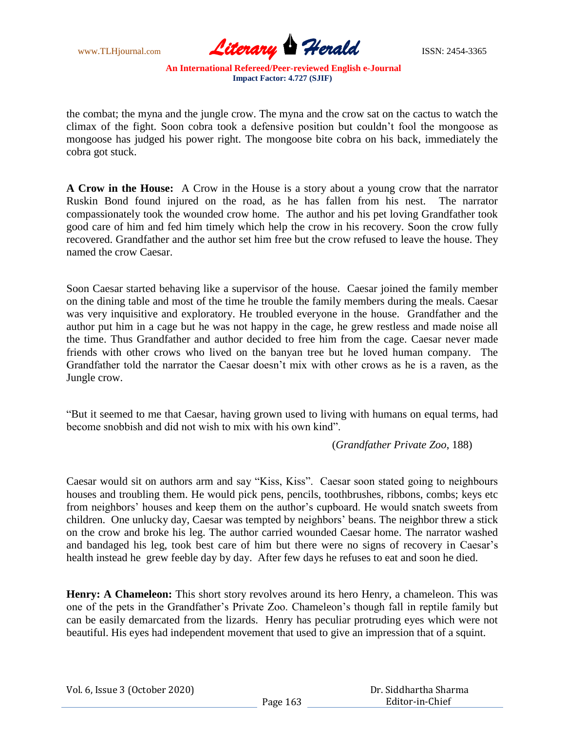

the combat; the myna and the jungle crow. The myna and the crow sat on the cactus to watch the climax of the fight. Soon cobra took a defensive position but couldn"t fool the mongoose as mongoose has judged his power right. The mongoose bite cobra on his back, immediately the cobra got stuck.

**A Crow in the House:** A Crow in the House is a story about a young crow that the narrator Ruskin Bond found injured on the road, as he has fallen from his nest. The narrator compassionately took the wounded crow home. The author and his pet loving Grandfather took good care of him and fed him timely which help the crow in his recovery. Soon the crow fully recovered. Grandfather and the author set him free but the crow refused to leave the house. They named the crow Caesar.

Soon Caesar started behaving like a supervisor of the house. Caesar joined the family member on the dining table and most of the time he trouble the family members during the meals. Caesar was very inquisitive and exploratory. He troubled everyone in the house. Grandfather and the author put him in a cage but he was not happy in the cage, he grew restless and made noise all the time. Thus Grandfather and author decided to free him from the cage. Caesar never made friends with other crows who lived on the banyan tree but he loved human company. The Grandfather told the narrator the Caesar doesn"t mix with other crows as he is a raven, as the Jungle crow.

"But it seemed to me that Caesar, having grown used to living with humans on equal terms, had become snobbish and did not wish to mix with his own kind".

(*Grandfather Private Zoo*, 188)

Caesar would sit on authors arm and say "Kiss, Kiss". Caesar soon stated going to neighbours houses and troubling them. He would pick pens, pencils, toothbrushes, ribbons, combs; keys etc from neighbors' houses and keep them on the author's cupboard. He would snatch sweets from children. One unlucky day, Caesar was tempted by neighbors" beans. The neighbor threw a stick on the crow and broke his leg. The author carried wounded Caesar home. The narrator washed and bandaged his leg, took best care of him but there were no signs of recovery in Caesar's health instead he grew feeble day by day. After few days he refuses to eat and soon he died.

**Henry: A Chameleon:** This short story revolves around its hero Henry, a chameleon. This was one of the pets in the Grandfather"s Private Zoo. Chameleon"s though fall in reptile family but can be easily demarcated from the lizards. Henry has peculiar protruding eyes which were not beautiful. His eyes had independent movement that used to give an impression that of a squint.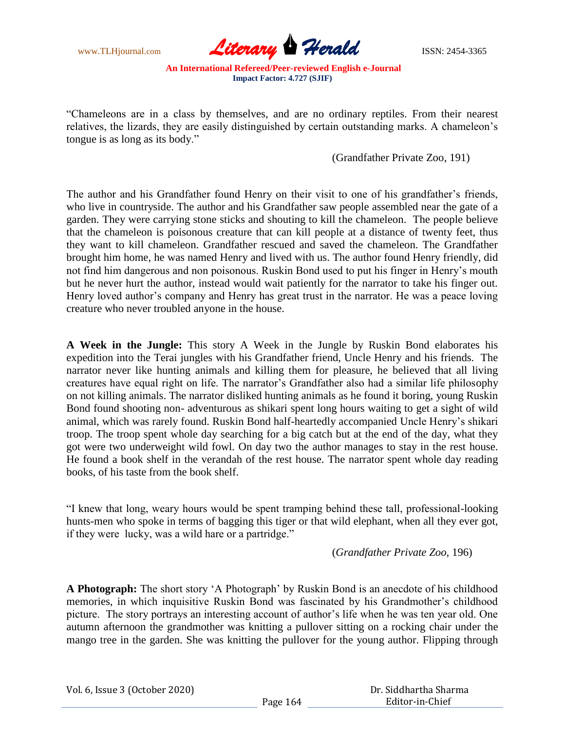

"Chameleons are in a class by themselves, and are no ordinary reptiles. From their nearest relatives, the lizards, they are easily distinguished by certain outstanding marks. A chameleon"s tongue is as long as its body."

(Grandfather Private Zoo, 191)

The author and his Grandfather found Henry on their visit to one of his grandfather's friends, who live in countryside. The author and his Grandfather saw people assembled near the gate of a garden. They were carrying stone sticks and shouting to kill the chameleon. The people believe that the chameleon is poisonous creature that can kill people at a distance of twenty feet, thus they want to kill chameleon. Grandfather rescued and saved the chameleon. The Grandfather brought him home, he was named Henry and lived with us. The author found Henry friendly, did not find him dangerous and non poisonous. Ruskin Bond used to put his finger in Henry"s mouth but he never hurt the author, instead would wait patiently for the narrator to take his finger out. Henry loved author's company and Henry has great trust in the narrator. He was a peace loving creature who never troubled anyone in the house.

**A Week in the Jungle:** This story A Week in the Jungle by Ruskin Bond elaborates his expedition into the Terai jungles with his Grandfather friend, Uncle Henry and his friends. The narrator never like hunting animals and killing them for pleasure, he believed that all living creatures have equal right on life. The narrator"s Grandfather also had a similar life philosophy on not killing animals. The narrator disliked hunting animals as he found it boring, young Ruskin Bond found shooting non- adventurous as shikari spent long hours waiting to get a sight of wild animal, which was rarely found. Ruskin Bond half-heartedly accompanied Uncle Henry"s shikari troop. The troop spent whole day searching for a big catch but at the end of the day, what they got were two underweight wild fowl. On day two the author manages to stay in the rest house. He found a book shelf in the verandah of the rest house. The narrator spent whole day reading books, of his taste from the book shelf.

"I knew that long, weary hours would be spent tramping behind these tall, professional-looking hunts-men who spoke in terms of bagging this tiger or that wild elephant, when all they ever got, if they were lucky, was a wild hare or a partridge."

(*Grandfather Private Zoo,* 196)

**A Photograph:** The short story "A Photograph" by Ruskin Bond is an anecdote of his childhood memories, in which inquisitive Ruskin Bond was fascinated by his Grandmother's childhood picture. The story portrays an interesting account of author"s life when he was ten year old. One autumn afternoon the grandmother was knitting a pullover sitting on a rocking chair under the mango tree in the garden. She was knitting the pullover for the young author. Flipping through